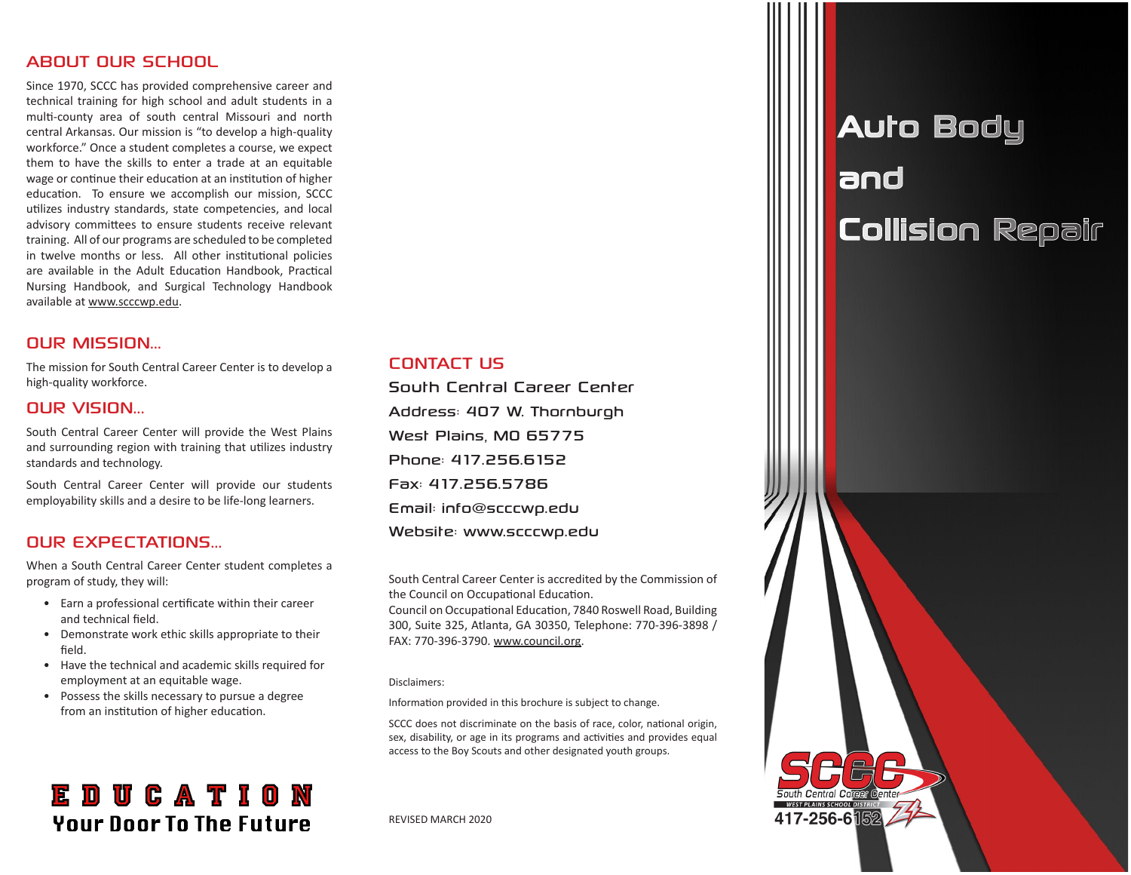#### ABOUT OUR SCHOOL

Since 1970, SCCC has provided comprehensive career and technical training for high school and adult students in a multi-county area of south central Missouri and north central Arkansas. Our mission is "to develop a high-quality workforce." Once a student completes a course, we expect them to have the skills to enter a trade at an equitable wage or continue their education at an institution of higher education. To ensure we accomplish our mission, SCCC utilizes industry standards, state competencies, and local advisory committees to ensure students receive relevant training. All of our programs are scheduled to be completed in twelve months or less. All other institutional policies are available in the Adult Education Handbook, Practical Nursing Handbook, and Surgical Technology Handbook available at www.scccwp.edu.

#### OUR MISSION...

The mission for South Central Career Center is to develop a high-quality workforce.

#### OUR VISION...

South Central Career Center will provide the West Plains and surrounding region with training that utilizes industry standards and technology.

South Central Career Center will provide our students employability skills and a desire to be life-long learners.

#### OUR EXPECTATIONS...

When a South Central Career Center student completes a program of study, they will:

- Earn a professional certificate within their career and technical field.
- Demonstrate work ethic skills appropriate to their field.
- Have the technical and academic skills required for employment at an equitable wage.
- Possess the skills necessary to pursue a degree from an institution of higher education.

### **EDUCATION Your Door To The Future**

#### CONTACT US

South Central Career Center Address: 407 W. Thornburgh West Plains, MO 65775 Phone: 417.256.6152 Fax: 417.256.5786 Email: info@scccwp.edu Website: www.scccwp.edu

South Central Career Center is accredited by the Commission of the Council on Occupational Education.

Council on Occupational Education, 7840 Roswell Road, Building 300, Suite 325, Atlanta, GA 30350, Telephone: 770-396-3898 / FAX: 770-396-3790. www.council.org.

#### Disclaimers:

Information provided in this brochure is subject to change.

SCCC does not discriminate on the basis of race, color, national origin, sex, disability, or age in its programs and activities and provides equal access to the Boy Scouts and other designated youth groups.

REVISED MARCH 2020

## Auto Body and Collision Repair

417-256-6隔2